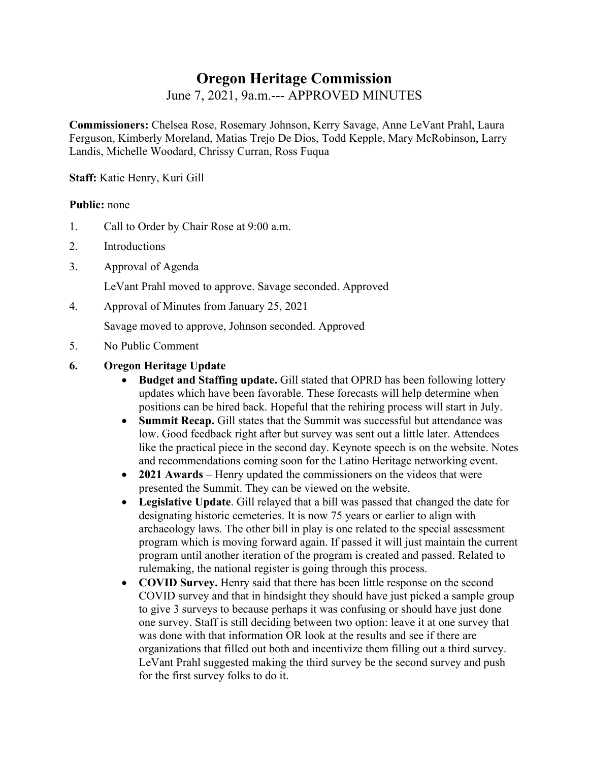# **Oregon Heritage Commission**

June 7, 2021, 9a.m.--- APPROVED MINUTES

**Commissioners:** Chelsea Rose, Rosemary Johnson, Kerry Savage, Anne LeVant Prahl, Laura Ferguson, Kimberly Moreland, Matias Trejo De Dios, Todd Kepple, Mary McRobinson, Larry Landis, Michelle Woodard, Chrissy Curran, Ross Fuqua

**Staff:** Katie Henry, Kuri Gill

#### **Public:** none

- 1. Call to Order by Chair Rose at 9:00 a.m.
- 2. Introductions
- 3. Approval of Agenda

LeVant Prahl moved to approve. Savage seconded. Approved

4. Approval of Minutes from January 25, 2021

Savage moved to approve, Johnson seconded. Approved

- 5. No Public Comment
- **6. Oregon Heritage Update** 
	- **Budget and Staffing update.** Gill stated that OPRD has been following lottery updates which have been favorable. These forecasts will help determine when positions can be hired back. Hopeful that the rehiring process will start in July.
	- **Summit Recap.** Gill states that the Summit was successful but attendance was low. Good feedback right after but survey was sent out a little later. Attendees like the practical piece in the second day. Keynote speech is on the website. Notes and recommendations coming soon for the Latino Heritage networking event.
	- **2021 Awards** Henry updated the commissioners on the videos that were presented the Summit. They can be viewed on the website.
	- **Legislative Update**. Gill relayed that a bill was passed that changed the date for designating historic cemeteries. It is now 75 years or earlier to align with archaeology laws. The other bill in play is one related to the special assessment program which is moving forward again. If passed it will just maintain the current program until another iteration of the program is created and passed. Related to rulemaking, the national register is going through this process.
	- **COVID Survey.** Henry said that there has been little response on the second COVID survey and that in hindsight they should have just picked a sample group to give 3 surveys to because perhaps it was confusing or should have just done one survey. Staff is still deciding between two option: leave it at one survey that was done with that information OR look at the results and see if there are organizations that filled out both and incentivize them filling out a third survey. LeVant Prahl suggested making the third survey be the second survey and push for the first survey folks to do it.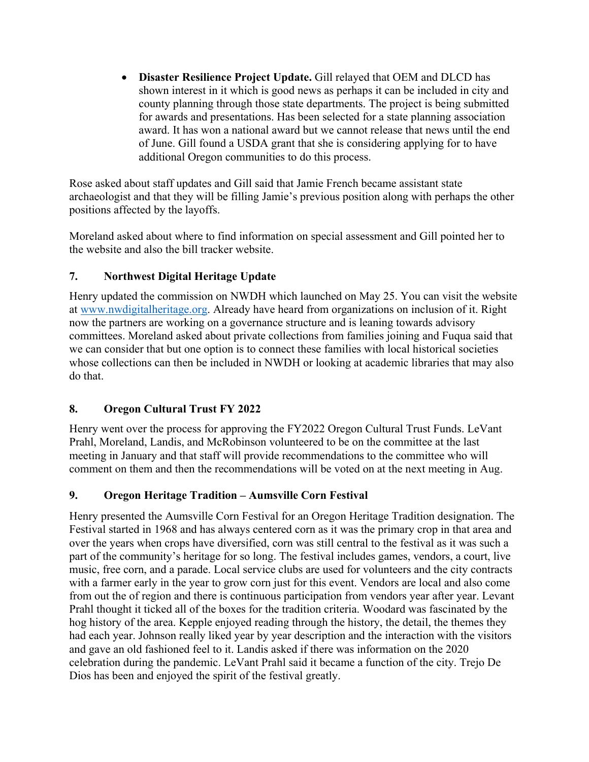**Disaster Resilience Project Update.** Gill relayed that OEM and DLCD has shown interest in it which is good news as perhaps it can be included in city and county planning through those state departments. The project is being submitted for awards and presentations. Has been selected for a state planning association award. It has won a national award but we cannot release that news until the end of June. Gill found a USDA grant that she is considering applying for to have additional Oregon communities to do this process.

Rose asked about staff updates and Gill said that Jamie French became assistant state archaeologist and that they will be filling Jamie's previous position along with perhaps the other positions affected by the layoffs.

Moreland asked about where to find information on special assessment and Gill pointed her to the website and also the bill tracker website.

### **7. Northwest Digital Heritage Update**

Henry updated the commission on NWDH which launched on May 25. You can visit the website at www.nwdigitalheritage.org. Already have heard from organizations on inclusion of it. Right now the partners are working on a governance structure and is leaning towards advisory committees. Moreland asked about private collections from families joining and Fuqua said that we can consider that but one option is to connect these families with local historical societies whose collections can then be included in NWDH or looking at academic libraries that may also do that.

### **8. Oregon Cultural Trust FY 2022**

Henry went over the process for approving the FY2022 Oregon Cultural Trust Funds. LeVant Prahl, Moreland, Landis, and McRobinson volunteered to be on the committee at the last meeting in January and that staff will provide recommendations to the committee who will comment on them and then the recommendations will be voted on at the next meeting in Aug.

### **9. Oregon Heritage Tradition – Aumsville Corn Festival**

Henry presented the Aumsville Corn Festival for an Oregon Heritage Tradition designation. The Festival started in 1968 and has always centered corn as it was the primary crop in that area and over the years when crops have diversified, corn was still central to the festival as it was such a part of the community's heritage for so long. The festival includes games, vendors, a court, live music, free corn, and a parade. Local service clubs are used for volunteers and the city contracts with a farmer early in the year to grow corn just for this event. Vendors are local and also come from out the of region and there is continuous participation from vendors year after year. Levant Prahl thought it ticked all of the boxes for the tradition criteria. Woodard was fascinated by the hog history of the area. Kepple enjoyed reading through the history, the detail, the themes they had each year. Johnson really liked year by year description and the interaction with the visitors and gave an old fashioned feel to it. Landis asked if there was information on the 2020 celebration during the pandemic. LeVant Prahl said it became a function of the city. Trejo De Dios has been and enjoyed the spirit of the festival greatly.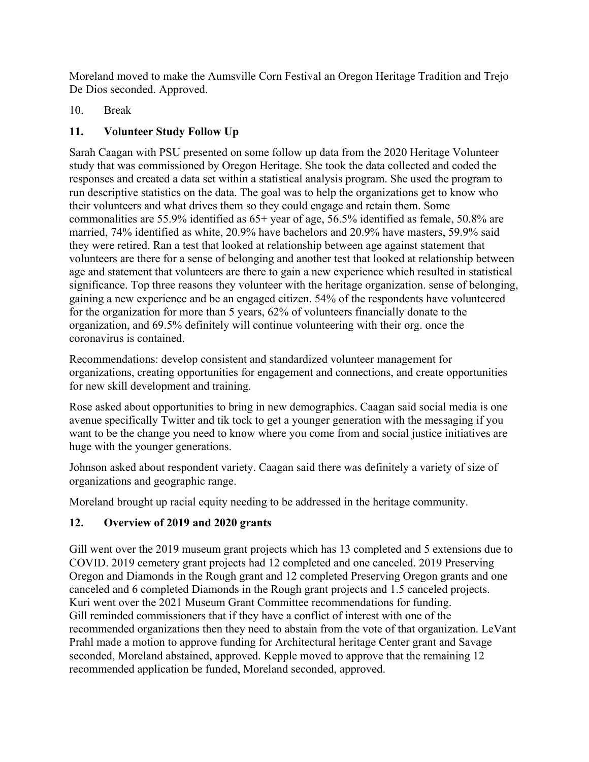Moreland moved to make the Aumsville Corn Festival an Oregon Heritage Tradition and Trejo De Dios seconded. Approved.

10. Break

## **11. Volunteer Study Follow Up**

Sarah Caagan with PSU presented on some follow up data from the 2020 Heritage Volunteer study that was commissioned by Oregon Heritage. She took the data collected and coded the responses and created a data set within a statistical analysis program. She used the program to run descriptive statistics on the data. The goal was to help the organizations get to know who their volunteers and what drives them so they could engage and retain them. Some commonalities are 55.9% identified as 65+ year of age, 56.5% identified as female, 50.8% are married, 74% identified as white, 20.9% have bachelors and 20.9% have masters, 59.9% said they were retired. Ran a test that looked at relationship between age against statement that volunteers are there for a sense of belonging and another test that looked at relationship between age and statement that volunteers are there to gain a new experience which resulted in statistical significance. Top three reasons they volunteer with the heritage organization. sense of belonging, gaining a new experience and be an engaged citizen. 54% of the respondents have volunteered for the organization for more than 5 years, 62% of volunteers financially donate to the organization, and 69.5% definitely will continue volunteering with their org. once the coronavirus is contained.

Recommendations: develop consistent and standardized volunteer management for organizations, creating opportunities for engagement and connections, and create opportunities for new skill development and training.

Rose asked about opportunities to bring in new demographics. Caagan said social media is one avenue specifically Twitter and tik tock to get a younger generation with the messaging if you want to be the change you need to know where you come from and social justice initiatives are huge with the younger generations.

Johnson asked about respondent variety. Caagan said there was definitely a variety of size of organizations and geographic range.

Moreland brought up racial equity needing to be addressed in the heritage community.

## **12. Overview of 2019 and 2020 grants**

Gill went over the 2019 museum grant projects which has 13 completed and 5 extensions due to COVID. 2019 cemetery grant projects had 12 completed and one canceled. 2019 Preserving Oregon and Diamonds in the Rough grant and 12 completed Preserving Oregon grants and one canceled and 6 completed Diamonds in the Rough grant projects and 1.5 canceled projects. Kuri went over the 2021 Museum Grant Committee recommendations for funding. Gill reminded commissioners that if they have a conflict of interest with one of the recommended organizations then they need to abstain from the vote of that organization. LeVant Prahl made a motion to approve funding for Architectural heritage Center grant and Savage seconded, Moreland abstained, approved. Kepple moved to approve that the remaining 12 recommended application be funded, Moreland seconded, approved.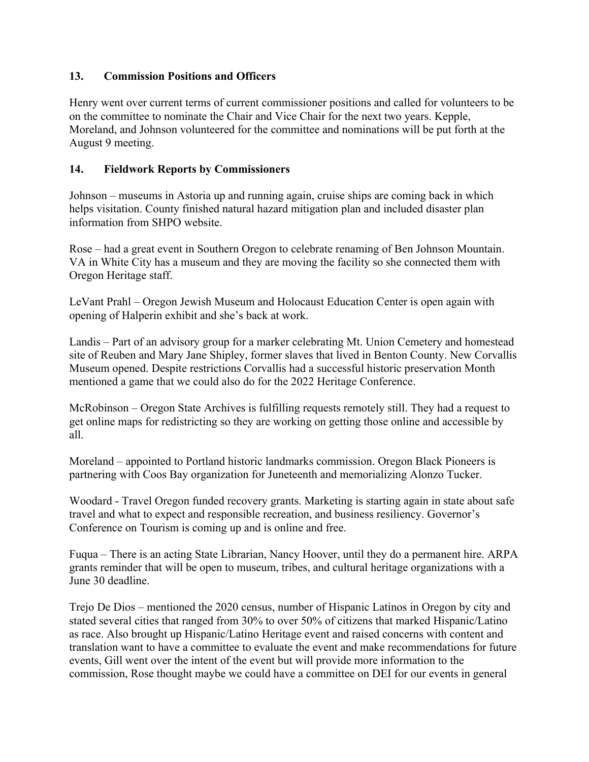### **13. Commission Positions and Officers**

Henry went over current terms of current commissioner positions and called for volunteers to be on the committee to nominate the Chair and Vice Chair for the next two years. Kepple, Moreland, and Johnson volunteered for the committee and nominations will be put forth at the August 9 meeting.

### **14. Fieldwork Reports by Commissioners**

Johnson – museums in Astoria up and running again, cruise ships are coming back in which helps visitation. County finished natural hazard mitigation plan and included disaster plan information from SHPO website.

Rose – had a great event in Southern Oregon to celebrate renaming of Ben Johnson Mountain. VA in White City has a museum and they are moving the facility so she connected them with Oregon Heritage staff.

LeVant Prahl – Oregon Jewish Museum and Holocaust Education Center is open again with opening of Halperin exhibit and she's back at work.

Landis – Part of an advisory group for a marker celebrating Mt. Union Cemetery and homestead site of Reuben and Mary Jane Shipley, former slaves that lived in Benton County. New Corvallis Museum opened. Despite restrictions Corvallis had a successful historic preservation Month mentioned a game that we could also do for the 2022 Heritage Conference.

McRobinson – Oregon State Archives is fulfilling requests remotely still. They had a request to get online maps for redistricting so they are working on getting those online and accessible by all.

Moreland – appointed to Portland historic landmarks commission. Oregon Black Pioneers is partnering with Coos Bay organization for Juneteenth and memorializing Alonzo Tucker.

Woodard - Travel Oregon funded recovery grants. Marketing is starting again in state about safe travel and what to expect and responsible recreation, and business resiliency. Governor's Conference on Tourism is coming up and is online and free.

Fuqua – There is an acting State Librarian, Nancy Hoover, until they do a permanent hire. ARPA grants reminder that will be open to museum, tribes, and cultural heritage organizations with a June 30 deadline.

Trejo De Dios – mentioned the 2020 census, number of Hispanic Latinos in Oregon by city and stated several cities that ranged from 30% to over 50% of citizens that marked Hispanic/Latino as race. Also brought up Hispanic/Latino Heritage event and raised concerns with content and translation want to have a committee to evaluate the event and make recommendations for future events, Gill went over the intent of the event but will provide more information to the commission, Rose thought maybe we could have a committee on DEI for our events in general